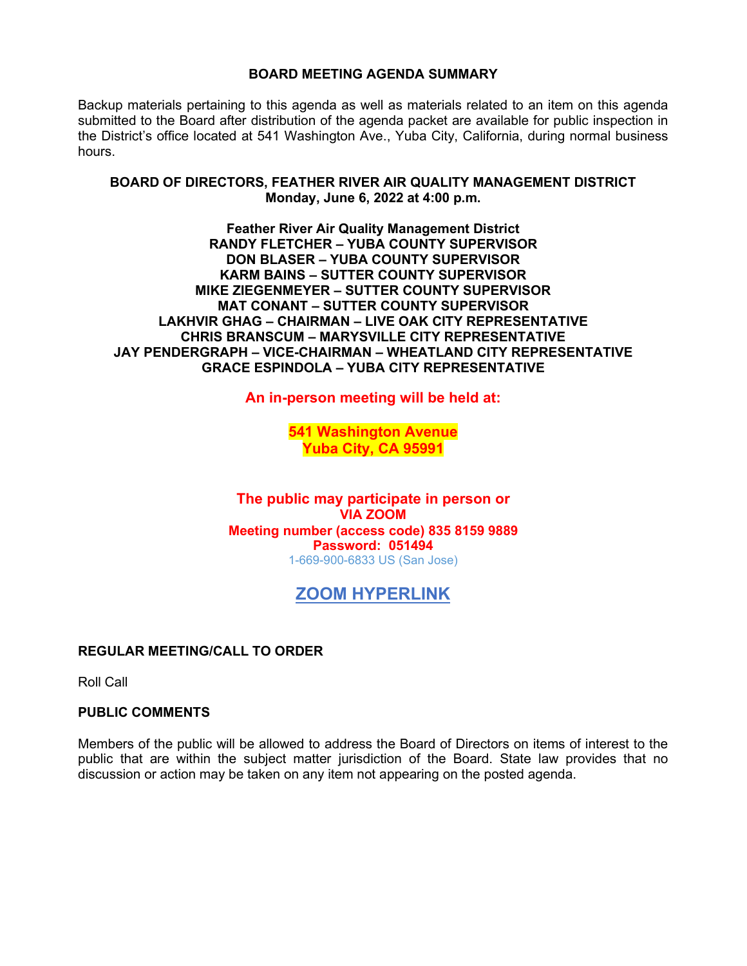#### **BOARD MEETING AGENDA SUMMARY**

Backup materials pertaining to this agenda as well as materials related to an item on this agenda submitted to the Board after distribution of the agenda packet are available for public inspection in the District's office located at 541 Washington Ave., Yuba City, California, during normal business hours.

#### **BOARD OF DIRECTORS, FEATHER RIVER AIR QUALITY MANAGEMENT DISTRICT Monday, June 6, 2022 at 4:00 p.m.**

**Feather River Air Quality Management District RANDY FLETCHER – YUBA COUNTY SUPERVISOR DON BLASER – YUBA COUNTY SUPERVISOR KARM BAINS – SUTTER COUNTY SUPERVISOR MIKE ZIEGENMEYER – SUTTER COUNTY SUPERVISOR MAT CONANT – SUTTER COUNTY SUPERVISOR LAKHVIR GHAG – CHAIRMAN – LIVE OAK CITY REPRESENTATIVE CHRIS BRANSCUM – MARYSVILLE CITY REPRESENTATIVE JAY PENDERGRAPH – VICE-CHAIRMAN – WHEATLAND CITY REPRESENTATIVE GRACE ESPINDOLA – YUBA CITY REPRESENTATIVE**

**An in-person meeting will be held at:**

**541 Washington Avenue Yuba City, CA 95991**

**The public may participate in person or VIA ZOOM Meeting number (access code) 835 8159 9889 Password: 051494** 1-669-900-6833 US (San Jose)

# **[ZOOM HYPERLINK](https://us02web.zoom.us/j/84197797801?pwd=anUwNloxdTRuckh1WnFMRFA3VFhhZz09)**

### **REGULAR MEETING/CALL TO ORDER**

Roll Call

### **PUBLIC COMMENTS**

Members of the public will be allowed to address the Board of Directors on items of interest to the public that are within the subject matter jurisdiction of the Board. State law provides that no discussion or action may be taken on any item not appearing on the posted agenda.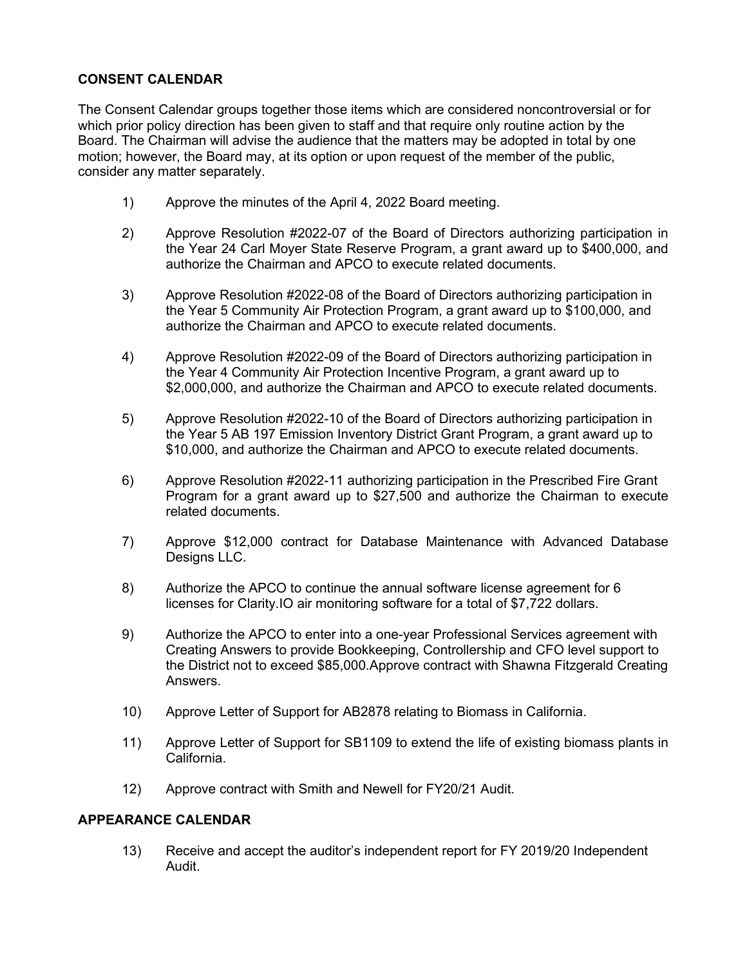## **CONSENT CALENDAR**

The Consent Calendar groups together those items which are considered noncontroversial or for which prior policy direction has been given to staff and that require only routine action by the Board. The Chairman will advise the audience that the matters may be adopted in total by one motion; however, the Board may, at its option or upon request of the member of the public, consider any matter separately.

- 1) Approve the minutes of the April 4, 2022 Board meeting.
- 2) Approve Resolution #2022-07 of the Board of Directors authorizing participation in the Year 24 Carl Moyer State Reserve Program, a grant award up to \$400,000, and authorize the Chairman and APCO to execute related documents.
- 3) Approve Resolution #2022-08 of the Board of Directors authorizing participation in the Year 5 Community Air Protection Program, a grant award up to \$100,000, and authorize the Chairman and APCO to execute related documents.
- 4) Approve Resolution #2022-09 of the Board of Directors authorizing participation in the Year 4 Community Air Protection Incentive Program, a grant award up to \$2,000,000, and authorize the Chairman and APCO to execute related documents.
- 5) Approve Resolution #2022-10 of the Board of Directors authorizing participation in the Year 5 AB 197 Emission Inventory District Grant Program, a grant award up to \$10,000, and authorize the Chairman and APCO to execute related documents.
- 6) Approve Resolution #2022-11 authorizing participation in the Prescribed Fire Grant Program for a grant award up to \$27,500 and authorize the Chairman to execute related documents.
- 7) Approve \$12,000 contract for Database Maintenance with Advanced Database Designs LLC.
- 8) Authorize the APCO to continue the annual software license agreement for 6 licenses for Clarity.IO air monitoring software for a total of \$7,722 dollars.
- 9) Authorize the APCO to enter into a one-year Professional Services agreement with Creating Answers to provide Bookkeeping, Controllership and CFO level support to the District not to exceed \$85,000.Approve contract with Shawna Fitzgerald Creating Answers.
- 10) Approve Letter of Support for AB2878 relating to Biomass in California.
- 11) Approve Letter of Support for SB1109 to extend the life of existing biomass plants in California.
- 12) Approve contract with Smith and Newell for FY20/21 Audit.

### **APPEARANCE CALENDAR**

13) Receive and accept the auditor's independent report for FY 2019/20 Independent Audit.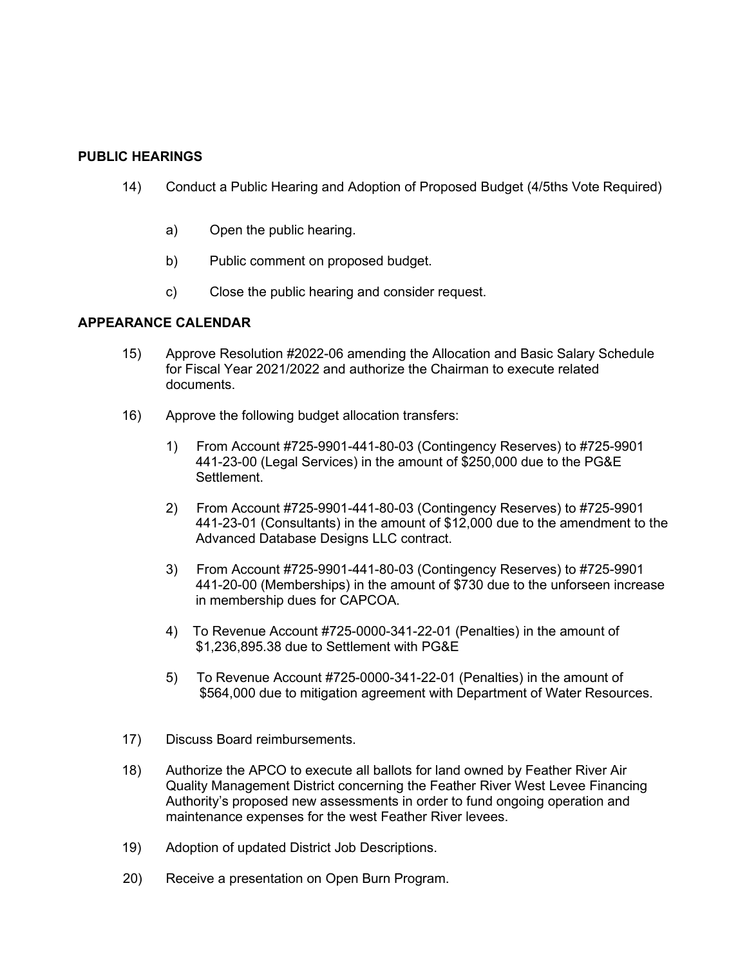#### **PUBLIC HEARINGS**

- 14) Conduct a Public Hearing and Adoption of Proposed Budget (4/5ths Vote Required)
	- a) Open the public hearing.
	- b) Public comment on proposed budget.
	- c) Close the public hearing and consider request.

#### **APPEARANCE CALENDAR**

- 15) Approve Resolution #2022-06 amending the Allocation and Basic Salary Schedule for Fiscal Year 2021/2022 and authorize the Chairman to execute related documents.
- 16) Approve the following budget allocation transfers:
	- 1) From Account #725-9901-441-80-03 (Contingency Reserves) to #725-9901 441-23-00 (Legal Services) in the amount of \$250,000 due to the PG&E Settlement.
	- 2) From Account #725-9901-441-80-03 (Contingency Reserves) to #725-9901 441-23-01 (Consultants) in the amount of \$12,000 due to the amendment to the Advanced Database Designs LLC contract.
	- 3) From Account #725-9901-441-80-03 (Contingency Reserves) to #725-9901 441-20-00 (Memberships) in the amount of \$730 due to the unforseen increase in membership dues for CAPCOA.
	- 4) To Revenue Account #725-0000-341-22-01 (Penalties) in the amount of \$1,236,895.38 due to Settlement with PG&E
	- 5) To Revenue Account #725-0000-341-22-01 (Penalties) in the amount of \$564,000 due to mitigation agreement with Department of Water Resources.
- 17) Discuss Board reimbursements.
- 18) Authorize the APCO to execute all ballots for land owned by Feather River Air Quality Management District concerning the Feather River West Levee Financing Authority's proposed new assessments in order to fund ongoing operation and maintenance expenses for the west Feather River levees.
- 19) Adoption of updated District Job Descriptions.
- 20) Receive a presentation on Open Burn Program.